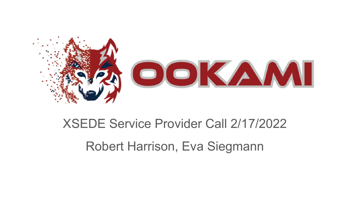

# XSEDE Service Provider Call 2/17/2022 Robert Harrison, Eva Siegmann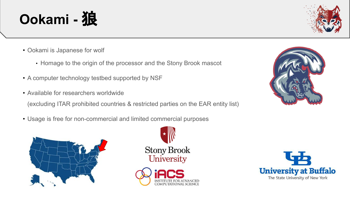• Ookami is Japanese for wolf

Ookami - 狼

- Homage to the origin of the processor and the Stony Brook mascot
- A computer technology testbed supported by NSF
- Available for researchers worldwide

(excluding ITAR prohibited countries & restricted parties on the EAR entity list)

• Usage is free for non-commercial and limited commercial purposes







The State University of New York

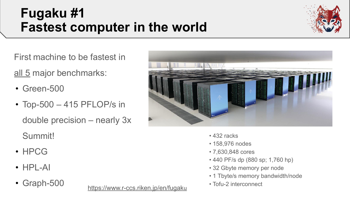#### **Fugaku #1 Fastest computer in the world**



First machine to be fastest in

all 5 major benchmarks:

- Green-500
- Top-500 415 PFLOP/s in double precision – nearly 3x Summit!
- HPCG
- $\cdot$  HPI-AI
- Graph-500

• Tofu-2 interconnect [https://www.r-ccs.riken.jp/en/fugak](https://www.r-ccs.riken.jp/en/fugaku)<sup>u</sup>



- 432 racks
- 158,976 nodes
- 7,630,848 cores
- 440 PF/s dp (880 sp; 1,760 hp)
- 32 Gbyte memory per node
- 1 Tbyte/s memory bandwidth/node
-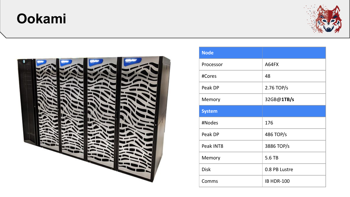## **Ookami**





| <b>Node</b>   |                   |
|---------------|-------------------|
| Processor     | A64FX             |
| #Cores        | 48                |
| Peak DP       | 2.76 TOP/s        |
| Memory        | 32GB@1TB/s        |
| <b>System</b> |                   |
| #Nodes        | 176               |
| Peak DP       | 486 TOP/s         |
| Peak INT8     | 3886 TOP/s        |
| Memory        | 5.6 TB            |
| <b>Disk</b>   | 0.8 PB Lustre     |
| Comms         | <b>IB HDR-100</b> |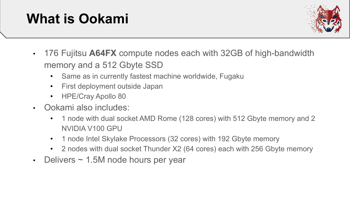# **What is Ookami**



- 176 Fujitsu **A64FX** compute nodes each with 32GB of high-bandwidth memory and a 512 Gbyte SSD
	- Same as in currently fastest machine worldwide, Fugaku
	- First deployment outside Japan
	- HPE/Cray Apollo 80
- Ookami also includes:
	- 1 node with dual socket AMD Rome (128 cores) with 512 Gbyte memory and 2 NVIDIA V100 GPU
	- 1 node Intel Skylake Processors (32 cores) with 192 Gbyte memory
	- 2 nodes with dual socket Thunder X2 (64 cores) each with 256 Gbyte memory
- Delivers ~ 1.5M node hours per year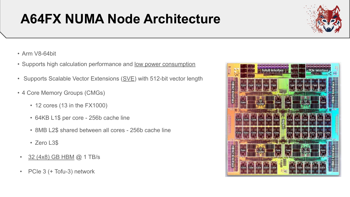# **A64FX NUMA Node Architecture**



- Arm V8-64bit
- Supports high calculation performance and low power consumption
- Supports Scalable Vector Extensions (SVE) with 512-bit vector length
- 4 Core Memory Groups (CMGs)
	- 12 cores (13 in the FX1000)
	- 64KB L1\$ per core 256b cache line
	- 8MB L2\$ shared between all cores 256b cache line
	- Zero L3\$
- 32 (4x8) GB HBM @ 1 TB/s
- PCIe 3 (+ Tofu-3) network

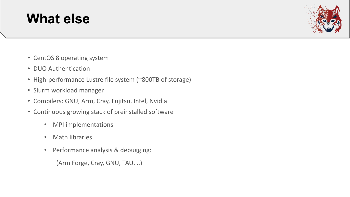#### **What else**



- CentOS 8 operating system
- DUO Authentication
- High-performance Lustre file system (~800TB of storage)
- Slurm workload manager
- Compilers: GNU, Arm, Cray, Fujitsu, Intel, Nvidia
- Continuous growing stack of preinstalled software
	- MPI implementations
	- Math libraries
	- Performance analysis & debugging:

(Arm Forge, Cray, GNU, TAU, ..)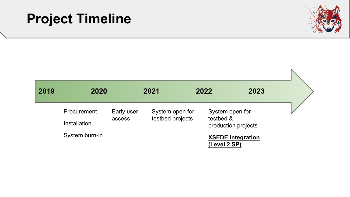## **Project Timeline**



| 2019 | 2020                   |            | 2021             |                 | 2022                             | 2023                     |  |
|------|------------------------|------------|------------------|-----------------|----------------------------------|--------------------------|--|
|      | Procurement            | Early user |                  | System open for | System open for                  |                          |  |
|      | access<br>Installation |            | testbed projects |                 | testbed &<br>production projects |                          |  |
|      | System burn-in         |            |                  |                 | (Level 2 SP)                     | <b>XSEDE integration</b> |  |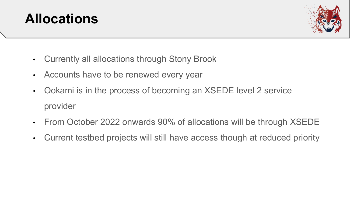



- Currently all allocations through Stony Brook
- Accounts have to be renewed every year
- Ookami is in the process of becoming an XSEDE level 2 service provider
- From October 2022 onwards 90% of allocations will be through XSEDE
- Current testbed projects will still have access though at reduced priority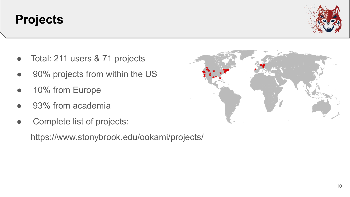#### **Projects**

- Total: 211 users & 71 projects
- 90% projects from within the US
- 10% from Europe
- 93% from academia
- Complete list of projects:

https://www.stonybrook.edu/ookami/projects/